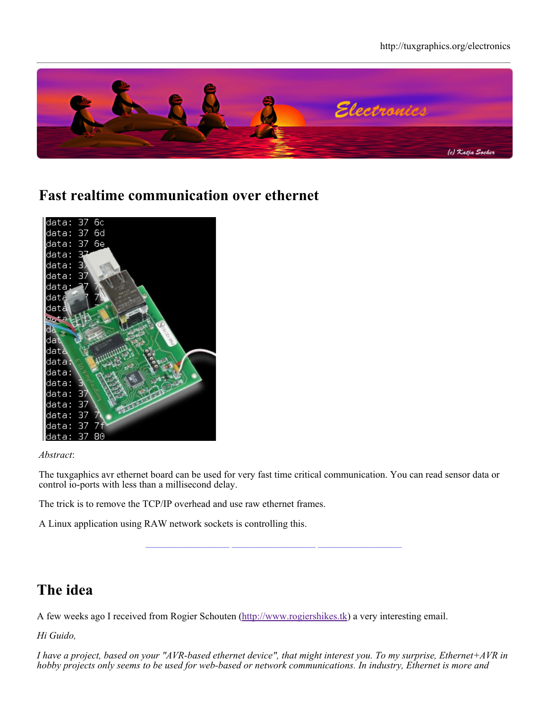

## **Fast realtime communication over ethernet**



#### *Abstract*:

The tuxgaphics avr ethernet board can be used for very fast time critical communication. You can read sensor data or control io-ports with less than a millisecond delay.

**\_\_\_\_\_\_\_\_\_\_\_\_\_\_\_\_\_ \_\_\_\_\_\_\_\_\_\_\_\_\_\_\_\_\_ \_\_\_\_\_\_\_\_\_\_\_\_\_\_\_\_\_**

The trick is to remove the TCP/IP overhead and use raw ethernet frames.

A Linux application using RAW network sockets is controlling this.

# **The idea**

A few weeks ago I received from Rogier Schouten (http://www.rogiershikes.tk) a very interesting email.

*Hi Guido,*

*I have a project, based on your "AVR-based ethernet device", that might interest you. To my surprise, Ethernet+AVR in hobby projects only seems to be used for web-based or network communications. In industry, Ethernet is more and*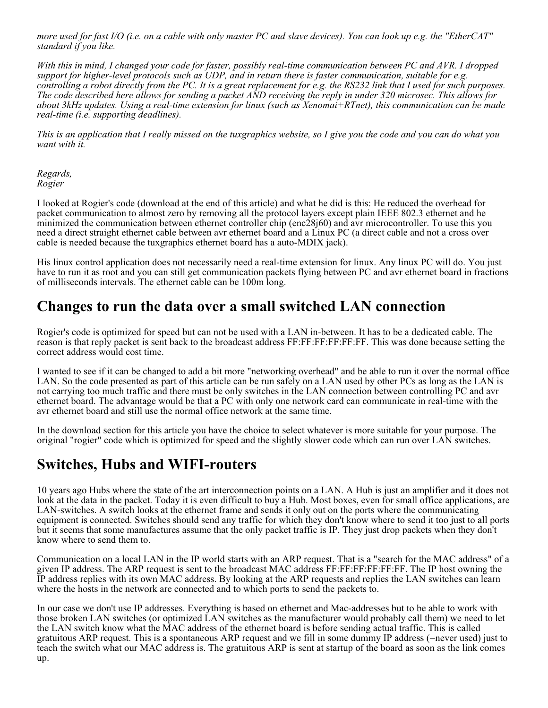*more used for fast I/O (i.e. on a cable with only master PC and slave devices). You can look up e.g. the "EtherCAT" standard if you like.*

*With this in mind, I changed your code for faster, possibly real-time communication between PC and AVR. I dropped support for higher-level protocols such as UDP, and in return there is faster communication, suitable for e.g. controlling a robot directly from the PC. It is a great replacement for e.g. the RS232 link that I used for such purposes. The code described here allows for sending a packet AND receiving the reply in under 320 microsec. This allows for about 3kHz updates. Using a real-time extension for linux (such as Xenomai+RTnet), this communication can be made real-time (i.e. supporting deadlines).*

*This is an application that I really missed on the tuxgraphics website, so I give you the code and you can do what you want with it.*

*Regards, Rogier*

I looked at Rogier's code (download at the end of this article) and what he did is this: He reduced the overhead for packet communication to almost zero by removing all the protocol layers except plain IEEE 802.3 ethernet and he minimized the communication between ethernet controller chip (enc28j60) and avr microcontroller. To use this you need a direct straight ethernet cable between avr ethernet board and a Linux PC (a direct cable and not a cross over cable is needed because the tuxgraphics ethernet board has a auto-MDIX jack).

His linux control application does not necessarily need a real-time extension for linux. Any linux PC will do. You just have to run it as root and you can still get communication packets flying between PC and avr ethernet board in fractions of milliseconds intervals. The ethernet cable can be 100m long.

## **Changes to run the data over a small switched LAN connection**

Rogier's code is optimized for speed but can not be used with a LAN in-between. It has to be a dedicated cable. The reason is that reply packet is sent back to the broadcast address FF:FF:FF:FF:FF:FF. This was done because setting the correct address would cost time.

I wanted to see if it can be changed to add a bit more "networking overhead" and be able to run it over the normal office LAN. So the code presented as part of this article can be run safely on a LAN used by other PCs as long as the LAN is not carrying too much traffic and there must be only switches in the LAN connection between controlling PC and avr ethernet board. The advantage would be that a PC with only one network card can communicate in real-time with the avr ethernet board and still use the normal office network at the same time.

In the download section for this article you have the choice to select whatever is more suitable for your purpose. The original "rogier" code which is optimized for speed and the slightly slower code which can run over LAN switches.

#### **Switches, Hubs and WIFI-routers**

10 years ago Hubs where the state of the art interconnection points on a LAN. A Hub is just an amplifier and it does not look at the data in the packet. Today it is even difficult to buy a Hub. Most boxes, even for small office applications, are LAN-switches. A switch looks at the ethernet frame and sends it only out on the ports where the communicating equipment is connected. Switches should send any traffic for which they don't know where to send it too just to all ports but it seems that some manufactures assume that the only packet traffic is IP. They just drop packets when they don't know where to send them to.

Communication on a local LAN in the IP world starts with an ARP request. That is a "search for the MAC address" of a given IP address. The ARP request is sent to the broadcast MAC address FF:FF:FF:FF:FF:FF. The IP host owning the IP address replies with its own MAC address. By looking at the ARP requests and replies the LAN switches can learn where the hosts in the network are connected and to which ports to send the packets to.

In our case we don't use IP addresses. Everything is based on ethernet and Mac-addresses but to be able to work with those broken LAN switches (or optimized LAN switches as the manufacturer would probably call them) we need to let the LAN switch know what the MAC address of the ethernet board is before sending actual traffic. This is called gratuitous ARP request. This is a spontaneous ARP request and we fill in some dummy IP address (=never used) just to teach the switch what our MAC address is. The gratuitous ARP is sent at startup of the board as soon as the link comes up.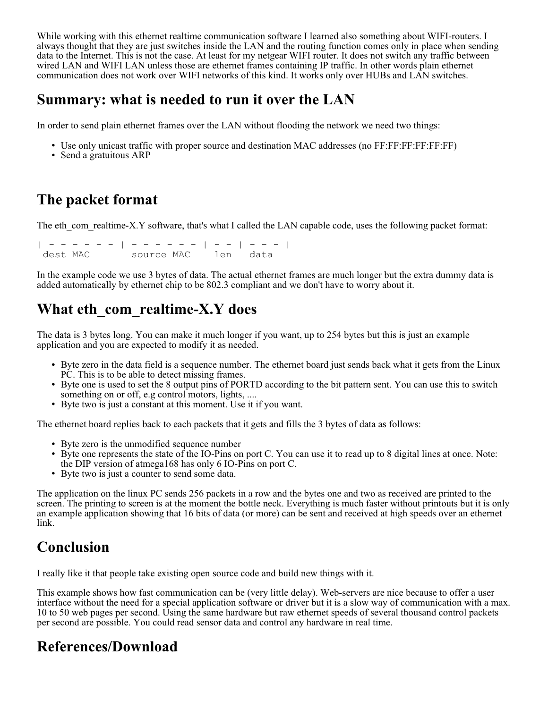While working with this ethernet realtime communication software I learned also something about WIFI-routers. I always thought that they are just switches inside the LAN and the routing function comes only in place when sending data to the Internet. This is not the case. At least for my netgear WIFI router. It does not switch any traffic between wired LAN and WIFI LAN unless those are ethernet frames containing IP traffic. In other words plain ethernet communication does not work over WIFI networks of this kind. It works only over HUBs and LAN switches.

#### **Summary: what is needed to run it over the LAN**

In order to send plain ethernet frames over the LAN without flooding the network we need two things:

- Use only unicast traffic with proper source and destination MAC addresses (no FF:FF:FF:FF:FF:FF)
- Send a gratuitous ARP

# **The packet format**

The eth com realtime-X.Y software, that's what I called the LAN capable code, uses the following packet format:

| - - - - - - | - - - - - - | - - | - - - | dest MAC source MAC len data

In the example code we use 3 bytes of data. The actual ethernet frames are much longer but the extra dummy data is added automatically by ethernet chip to be 802.3 compliant and we don't have to worry about it.

# **What eth\_com\_realtime-X.Y does**

The data is 3 bytes long. You can make it much longer if you want, up to 254 bytes but this is just an example application and you are expected to modify it as needed.

- Byte zero in the data field is a sequence number. The ethernet board just sends back what it gets from the Linux PC. This is to be able to detect missing frames.
- Byte one is used to set the 8 output pins of PORTD according to the bit pattern sent. You can use this to switch something on or off, e.g control motors, lights, ....
- Byte two is just a constant at this moment. Use it if you want.

The ethernet board replies back to each packets that it gets and fills the 3 bytes of data as follows:

- Byte zero is the unmodified sequence number
- Byte one represents the state of the IO-Pins on port C. You can use it to read up to 8 digital lines at once. Note: the DIP version of atmega168 has only 6 IO-Pins on port C.
- Byte two is just a counter to send some data.

The application on the linux PC sends 256 packets in a row and the bytes one and two as received are printed to the screen. The printing to screen is at the moment the bottle neck. Everything is much faster without printouts but it is only an example application showing that 16 bits of data (or more) can be sent and received at high speeds over an ethernet link.

# **Conclusion**

I really like it that people take existing open source code and build new things with it.

This example shows how fast communication can be (very little delay). Web-servers are nice because to offer a user interface without the need for a special application software or driver but it is a slow way of communication with a max. 10 to 50 web pages per second. Using the same hardware but raw ethernet speeds of several thousand control packets per second are possible. You could read sensor data and control any hardware in real time.

# **References/Download**